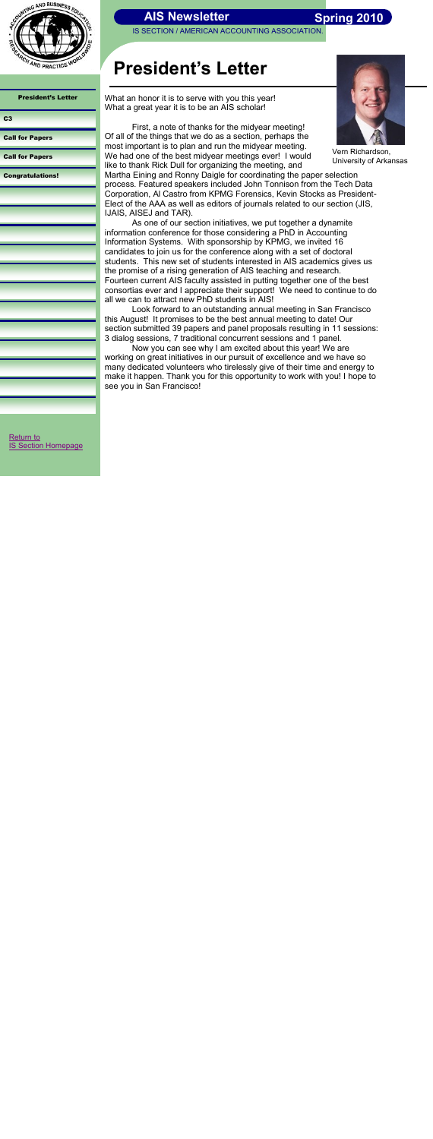IS SECTION / AMERICAN ACCOUNTING ASSOCIATION.



President's Letter

<span id="page-0-0"></span>[Return to](http://aaahq.org/infosys/index.html)  **[IS Section Homepage](http://aaahq.org/infosys/index.html)** 

[Call for Papers](#page-2-0)

[Call for Papers](#page-3-0)

[Congratulations!](#page-4-0)

# **President's Letter**

Vern Richardson, University of Arkansas

 **Spring 2010**

What an honor it is to serve with you this year! What a great year it is to be an AIS scholar!

First, a note of thanks for the midyear meeting! Of all of the things that we do as a section, perhaps the most important is to plan and run the midyear meeting. We had one of the best midyear meetings ever! I would like to thank Rick Dull for organizing the meeting, and Martha Eining and Ronny Daigle for coordinating the paper selection process. Featured speakers included John Tonnison from the Tech Data Corporation, Al Castro from KPMG Forensics, Kevin Stocks as President-Elect of the AAA as well as editors of journals related to our section (JIS, IJAIS, AISEJ and TAR).

As one of our section initiatives, we put together a dynamite information conference for those considering a PhD in Accounting Information Systems. With sponsorship by KPMG, we invited 16 candidates to join us for the conference along with a set of doctoral students. This new set of students interested in AIS academics gives us the promise of a rising generation of AIS teaching and research. Fourteen current AIS faculty assisted in putting together one of the best consortias ever and I appreciate their support! We need to continue to do all we can to attract new PhD students in AIS!

Look forward to an outstanding annual meeting in San Francisco this August! It promises to be the best annual meeting to date! Our section submitted 39 papers and panel proposals resulting in 11 sessions: 3 dialog sessions, 7 traditional concurrent sessions and 1 panel.

Now you can see why I am excited about this year! We are working on great initiatives in our pursuit of excellence and we have so many dedicated volunteers who tirelessly give of their time and energy to make it happen. Thank you for this opportunity to work with you! I hope to see you in San Francisco!

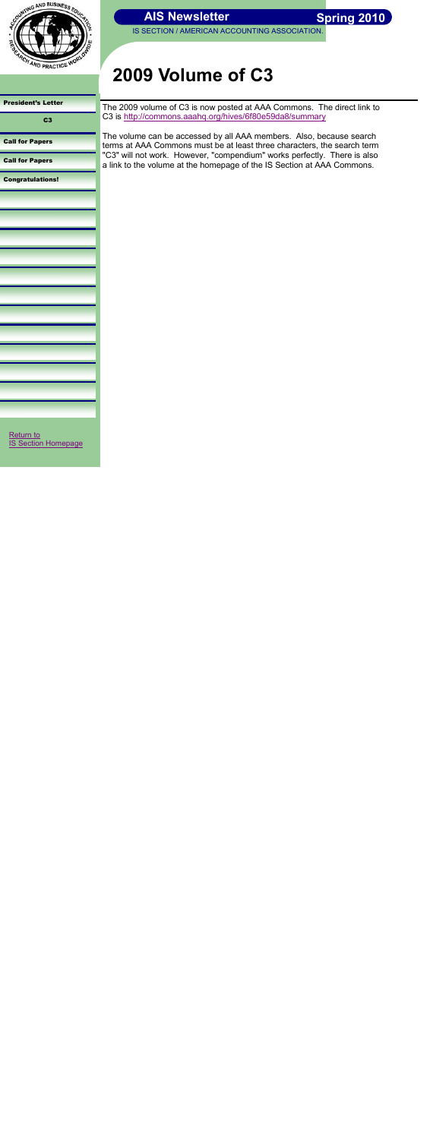

| <b>President's Letter</b>          |
|------------------------------------|
| c <sub>3</sub><br>--               |
| <b>Call for Papers</b><br>a.       |
| <b>Call for Papers</b>             |
| <b>Congratulations!</b><br>__<br>- |
|                                    |
|                                    |
|                                    |
|                                    |
|                                    |
|                                    |
|                                    |
|                                    |
|                                    |
|                                    |
|                                    |
|                                    |
| Return to                          |

IS SECTION / AMERICAN ACCOUNTING ASSOCIATION.

# **2009 Volume of C3**

<span id="page-1-0"></span>[IS Section Homepage](http://aaahq.org/infosys/index.html)

The 2009 volume of C3 is now posted at AAA Commons. The direct link to C3 is<http://commons.aaahq.org/hives/6f80e59da8/summary>

The volume can be accessed by all AAA members. Also, because search terms at AAA Commons must be at least three characters, the search term "C3" will not work. However, "compendium" works perfectly. There is also a link to the volume at the homepage of the IS Section at AAA Commons.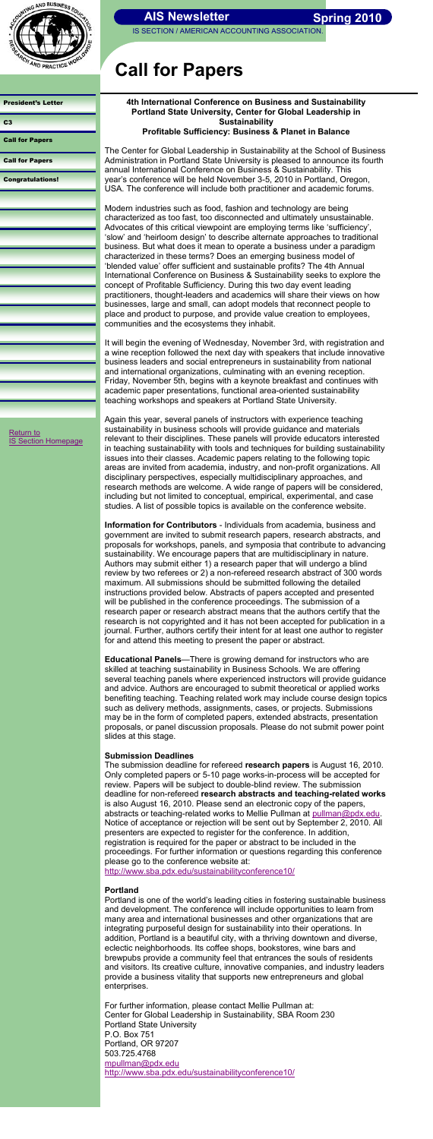

| <b>AIS Newsletter</b> |  |  |
|-----------------------|--|--|
|-----------------------|--|--|

IS SECTION / AMERICAN ACCOUNTING ASSOCIATION

| <b>President's Letter</b> |
|---------------------------|
| c <sub>3</sub>            |
| <b>Call for Papers</b>    |
| <b>Call for Papers</b>    |
| <b>Congratulations!</b>   |
|                           |
|                           |
|                           |
|                           |
|                           |
|                           |
|                           |
|                           |
|                           |
|                           |
|                           |
|                           |

# **Call for Papers**

#### **4th International Conference on Business and Sustainability Portland State University, Center for Global Leadership in Sustainability Profitable Sufficiency: Business & Planet in Balance**

The Center for Global Leadership in Sustainability at the School of Business Administration in Portland State University is pleased to announce its fourth annual International Conference on Business & Sustainability. This year's conference will be held November 3-5, 2010 in Portland, Oregon, USA. The conference will include both practitioner and academic forums.

Modern industries such as food, fashion and technology are being characterized as too fast, too disconnected and ultimately unsustainable. Advocates of this critical viewpoint are employing terms like 'sufficiency', 'slow' and 'heirloom design' to describe alternate approaches to traditional business. But what does it mean to operate a business under a paradigm characterized in these terms? Does an emerging business model of 'blended value' offer sufficient and sustainable profits? The 4th Annual International Conference on Business & Sustainability seeks to explore the concept of Profitable Sufficiency. During this two day event leading practitioners, thought-leaders and academics will share their views on how businesses, large and small, can adopt models that reconnect people to place and product to purpose, and provide value creation to employees, communities and the ecosystems they inhabit.

It will begin the evening of Wednesday, November 3rd, with registration and a wine reception followed the next day with speakers that include innovative business leaders and social entrepreneurs in sustainability from national and international organizations, culminating with an evening reception. Friday, November 5th, begins with a keynote breakfast and continues with academic paper presentations, functional area-oriented sustainability teaching workshops and speakers at Portland State University.

Again this year, several panels of instructors with experience teaching sustainability in business schools will provide guidance and materials relevant to their disciplines. These panels will provide educators interested in teaching sustainability with tools and techniques for building sustainability issues into their classes. Academic papers relating to the following topic areas are invited from academia, industry, and non-profit organizations. All disciplinary perspectives, especially multidisciplinary approaches, and research methods are welcome. A wide range of papers will be considered, including but not limited to conceptual, empirical, experimental, and case studies. A list of possible topics is available on the conference website.

[Return to](http://aaahq.org/infosys/index.html)  **[IS Section Homepage](http://aaahq.org/infosys/index.html)** 

> <span id="page-2-0"></span>**Information for Contributors** - Individuals from academia, business and government are invited to submit research papers, research abstracts, and proposals for workshops, panels, and symposia that contribute to advancing sustainability. We encourage papers that are multidisciplinary in nature. Authors may submit either 1) a research paper that will undergo a blind review by two referees or 2) a non-refereed research abstract of 300 words maximum. All submissions should be submitted following the detailed instructions provided below. Abstracts of papers accepted and presented will be published in the conference proceedings. The submission of a research paper or research abstract means that the authors certify that the research is not copyrighted and it has not been accepted for publication in a journal. Further, authors certify their intent for at least one author to register for and attend this meeting to present the paper or abstract.

> **Educational Panels**—There is growing demand for instructors who are skilled at teaching sustainability in Business Schools. We are offering several teaching panels where experienced instructors will provide guidance and advice. Authors are encouraged to submit theoretical or applied works benefiting teaching. Teaching related work may include course design topics such as delivery methods, assignments, cases, or projects. Submissions may be in the form of completed papers, extended abstracts, presentation proposals, or panel discussion proposals. Please do not submit power point slides at this stage.

#### **Submission Deadlines**

The submission deadline for refereed **research papers** is August 16, 2010. Only completed papers or 5-10 page works-in-process will be accepted for review. Papers will be subject to double-blind review. The submission deadline for non-refereed **research abstracts and teaching-related works**  is also August 16, 2010. Please send an electronic copy of the papers, abstracts or teaching-related works to Mellie Pullman at [pullman@pdx.edu.](mailto:pullman@pdx.edu) Notice of acceptance or rejection will be sent out by September 2, 2010. All presenters are expected to register for the conference. In addition, registration is required for the paper or abstract to be included in the proceedings. For further information or questions regarding this conference please go to the conference website at:

<http://www.sba.pdx.edu/sustainabilityconference10/>

#### **Portland**

Portland is one of the world's leading cities in fostering sustainable business and development. The conference will include opportunities to learn from many area and international businesses and other organizations that are integrating purposeful design for sustainability into their operations. In addition, Portland is a beautiful city, with a thriving downtown and diverse, eclectic neighborhoods. Its coffee shops, bookstores, wine bars and brewpubs provide a community feel that entrances the souls of residents and visitors. Its creative culture, innovative companies, and industry leaders provide a business vitality that supports new entrepreneurs and global enterprises.

For further information, please contact Mellie Pullman at: Center for Global Leadership in Sustainability, SBA Room 230 Portland State University P.O. Box 751 Portland, OR 97207 503.725.4768 [mpullman@pdx.edu](mailto:mpullman@pdx.edu) <http://www.sba.pdx.edu/sustainabilityconference10/>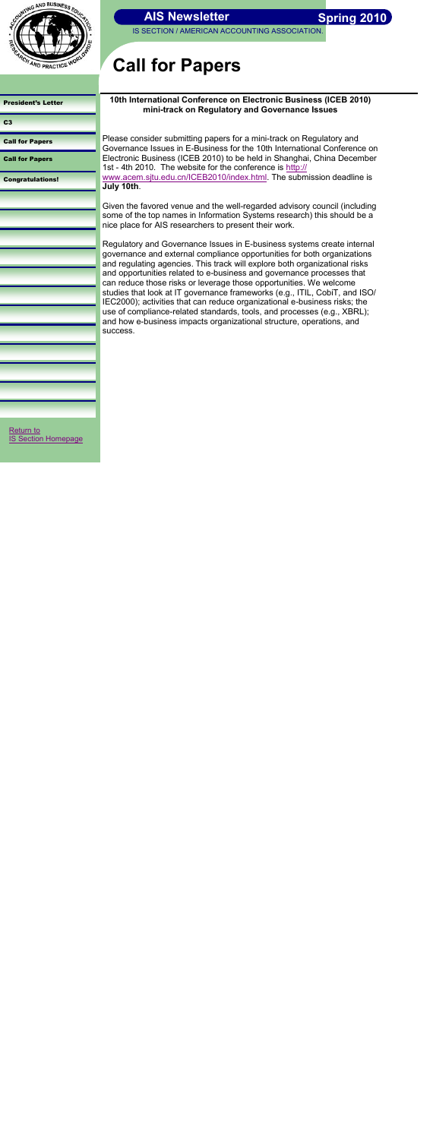

**IS SECTION / AMERICAN ACCOUNTING ASSOCIATION** 

| <b>President's Letter</b>               |
|-----------------------------------------|
| c <sub>3</sub>                          |
| <b>Call for Papers</b>                  |
| <b>Call for Papers</b>                  |
| <b>Congratulations!</b>                 |
|                                         |
|                                         |
|                                         |
|                                         |
|                                         |
|                                         |
|                                         |
|                                         |
|                                         |
|                                         |
|                                         |
|                                         |
| Return to<br><b>IS Section Homepage</b> |

# **Call for Papers**

### **10th International Conference on Electronic Business (ICEB 2010) mini-track on Regulatory and Governance Issues**

Please consider submitting papers for a mini-track on Regulatory and Governance Issues in E-Business for the 10th International Conference on Electronic Business (ICEB 2010) to be held in Shanghai, China December 1st - 4th 2010. The website for the conference is [http://](http://www.acem.sjtu.edu.cn/ICEB2010/index.html) [www.acem.sjtu.edu.cn/ICEB2010/index.html.](http://www.acem.sjtu.edu.cn/ICEB2010/index.html) The submission deadline is **July 10th**.

Given the favored venue and the well-regarded advisory council (including some of the top names in Information Systems research) this should be a nice place for AIS researchers to present their work.

Regulatory and Governance Issues in E-business systems create internal governance and external compliance opportunities for both organizations and regulating agencies. This track will explore both organizational risks and opportunities related to e-business and governance processes that can reduce those risks or leverage those opportunities. We welcome studies that look at IT governance frameworks (e.g., ITIL, CobiT, and ISO/ IEC2000); activities that can reduce organizational e-business risks; the use of compliance-related standards, tools, and processes (e.g., XBRL); and how e-business impacts organizational structure, operations, and success.

<span id="page-3-0"></span>